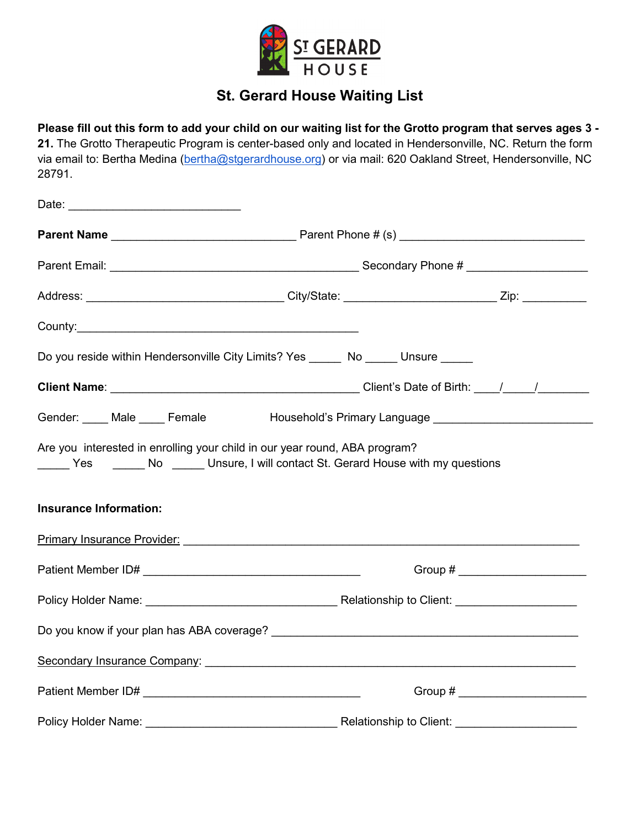

# **St. Gerard House Waiting List**

**Please fill out this form to add your child on our waiting list for the Grotto program that serves ages 3 - 21.** The Grotto Therapeutic Program is center-based only and located in Hendersonville, NC. Return the form via email to: Bertha Medina [\(bertha@stgerardhouse.org\)](mailto:bertha@stgerardhouse.org) or via mail: 620 Oakland Street, Hendersonville, NC 28791.

|                               | Do you reside within Hendersonville City Limits? Yes ______ No _____ Unsure _____                                                                                                                                                                                                                                                                                                                       |                                                                                                                                                                                                                                                                                                                                                                                                              |  |
|-------------------------------|---------------------------------------------------------------------------------------------------------------------------------------------------------------------------------------------------------------------------------------------------------------------------------------------------------------------------------------------------------------------------------------------------------|--------------------------------------------------------------------------------------------------------------------------------------------------------------------------------------------------------------------------------------------------------------------------------------------------------------------------------------------------------------------------------------------------------------|--|
|                               | Client Name: $\frac{1}{\sqrt{1-\frac{1}{2}}\sqrt{1-\frac{1}{2}}\sqrt{1-\frac{1}{2}}\sqrt{1-\frac{1}{2}}\sqrt{1-\frac{1}{2}}\sqrt{1-\frac{1}{2}}\sqrt{1-\frac{1}{2}}\sqrt{1-\frac{1}{2}}\sqrt{1-\frac{1}{2}}\sqrt{1-\frac{1}{2}}\sqrt{1-\frac{1}{2}}\sqrt{1-\frac{1}{2}}\sqrt{1-\frac{1}{2}}\sqrt{1-\frac{1}{2}}\sqrt{1-\frac{1}{2}}\sqrt{1-\frac{1}{2}}\sqrt{1-\frac{1}{2}}\sqrt{1-\frac{1}{2}}\sqrt{1$ |                                                                                                                                                                                                                                                                                                                                                                                                              |  |
|                               | Gender: ____ Male ____ Female decree Household's Primary Language _______________                                                                                                                                                                                                                                                                                                                       |                                                                                                                                                                                                                                                                                                                                                                                                              |  |
|                               | Are you interested in enrolling your child in our year round, ABA program?<br>______ Yes ________ No ______ Unsure, I will contact St. Gerard House with my questions                                                                                                                                                                                                                                   |                                                                                                                                                                                                                                                                                                                                                                                                              |  |
| <b>Insurance Information:</b> |                                                                                                                                                                                                                                                                                                                                                                                                         |                                                                                                                                                                                                                                                                                                                                                                                                              |  |
|                               | Primary Insurance Provider: 2008 Contract Contract Contract Contract Contract Contract Contract Contract Contr                                                                                                                                                                                                                                                                                          |                                                                                                                                                                                                                                                                                                                                                                                                              |  |
|                               |                                                                                                                                                                                                                                                                                                                                                                                                         | Group # $\frac{1}{2}$ $\frac{1}{2}$ $\frac{1}{2}$ $\frac{1}{2}$ $\frac{1}{2}$ $\frac{1}{2}$ $\frac{1}{2}$ $\frac{1}{2}$ $\frac{1}{2}$ $\frac{1}{2}$ $\frac{1}{2}$ $\frac{1}{2}$ $\frac{1}{2}$ $\frac{1}{2}$ $\frac{1}{2}$ $\frac{1}{2}$ $\frac{1}{2}$ $\frac{1}{2}$ $\frac{1}{2}$ $\frac{1}{2}$ $\frac{1}{2}$ $\frac$                                                                                        |  |
|                               |                                                                                                                                                                                                                                                                                                                                                                                                         |                                                                                                                                                                                                                                                                                                                                                                                                              |  |
|                               |                                                                                                                                                                                                                                                                                                                                                                                                         |                                                                                                                                                                                                                                                                                                                                                                                                              |  |
|                               |                                                                                                                                                                                                                                                                                                                                                                                                         |                                                                                                                                                                                                                                                                                                                                                                                                              |  |
|                               |                                                                                                                                                                                                                                                                                                                                                                                                         | Group # $\frac{1}{\sqrt{1-\frac{1}{2}}\sqrt{1-\frac{1}{2}}\sqrt{1-\frac{1}{2}}\sqrt{1-\frac{1}{2}}\sqrt{1-\frac{1}{2}}\sqrt{1-\frac{1}{2}}\sqrt{1-\frac{1}{2}}\sqrt{1-\frac{1}{2}}\sqrt{1-\frac{1}{2}}\sqrt{1-\frac{1}{2}}\sqrt{1-\frac{1}{2}}\sqrt{1-\frac{1}{2}}\sqrt{1-\frac{1}{2}}\sqrt{1-\frac{1}{2}}\sqrt{1-\frac{1}{2}}\sqrt{1-\frac{1}{2}}\sqrt{1-\frac{1}{2}}\sqrt{1-\frac{1}{2}}\sqrt{1-\frac{1}{$ |  |
| Policy Holder Name:           | Relationship to Client: __________                                                                                                                                                                                                                                                                                                                                                                      |                                                                                                                                                                                                                                                                                                                                                                                                              |  |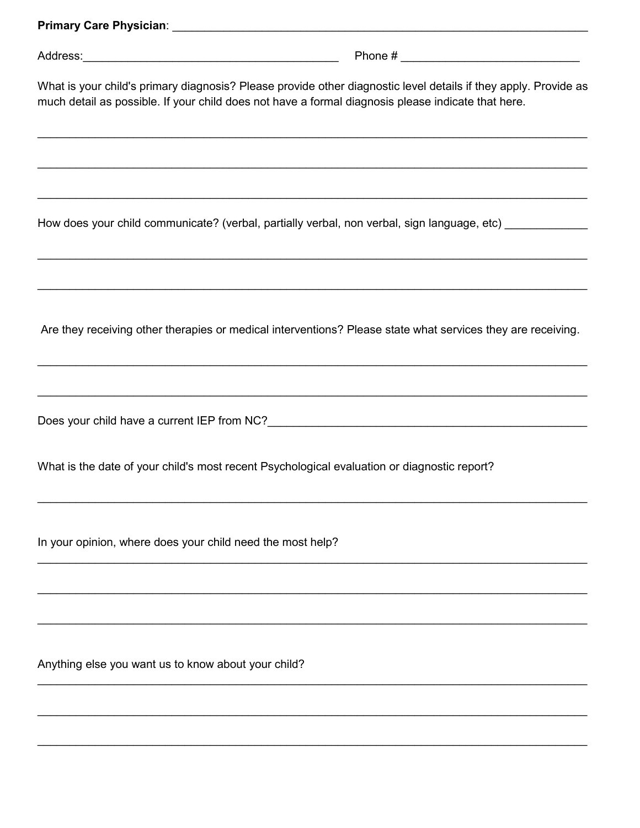|                                                            | What is your child's primary diagnosis? Please provide other diagnostic level details if they apply. Provide as<br>much detail as possible. If your child does not have a formal diagnosis please indicate that here. |
|------------------------------------------------------------|-----------------------------------------------------------------------------------------------------------------------------------------------------------------------------------------------------------------------|
|                                                            | ,我们也不能在这里的时候,我们也不能在这里的时候,我们也不能不能不能不能不能不能不能不能不能不能不能。""我们的人们也不能不能不能不能不能不能不能不能不能不能不能                                                                                                                                     |
|                                                            | How does your child communicate? (verbal, partially verbal, non verbal, sign language, etc) _____________                                                                                                             |
|                                                            |                                                                                                                                                                                                                       |
|                                                            | Are they receiving other therapies or medical interventions? Please state what services they are receiving.<br>,我们也不会有什么。""我们的人,我们也不会有什么?""我们的人,我们也不会有什么?""我们的人,我们也不会有什么?""我们的人,我们也不会有什么?""我们的人                       |
|                                                            |                                                                                                                                                                                                                       |
|                                                            |                                                                                                                                                                                                                       |
|                                                            | What is the date of your child's most recent Psychological evaluation or diagnostic report?                                                                                                                           |
| In your opinion, where does your child need the most help? |                                                                                                                                                                                                                       |
|                                                            |                                                                                                                                                                                                                       |
| Anything else you want us to know about your child?        |                                                                                                                                                                                                                       |
|                                                            |                                                                                                                                                                                                                       |